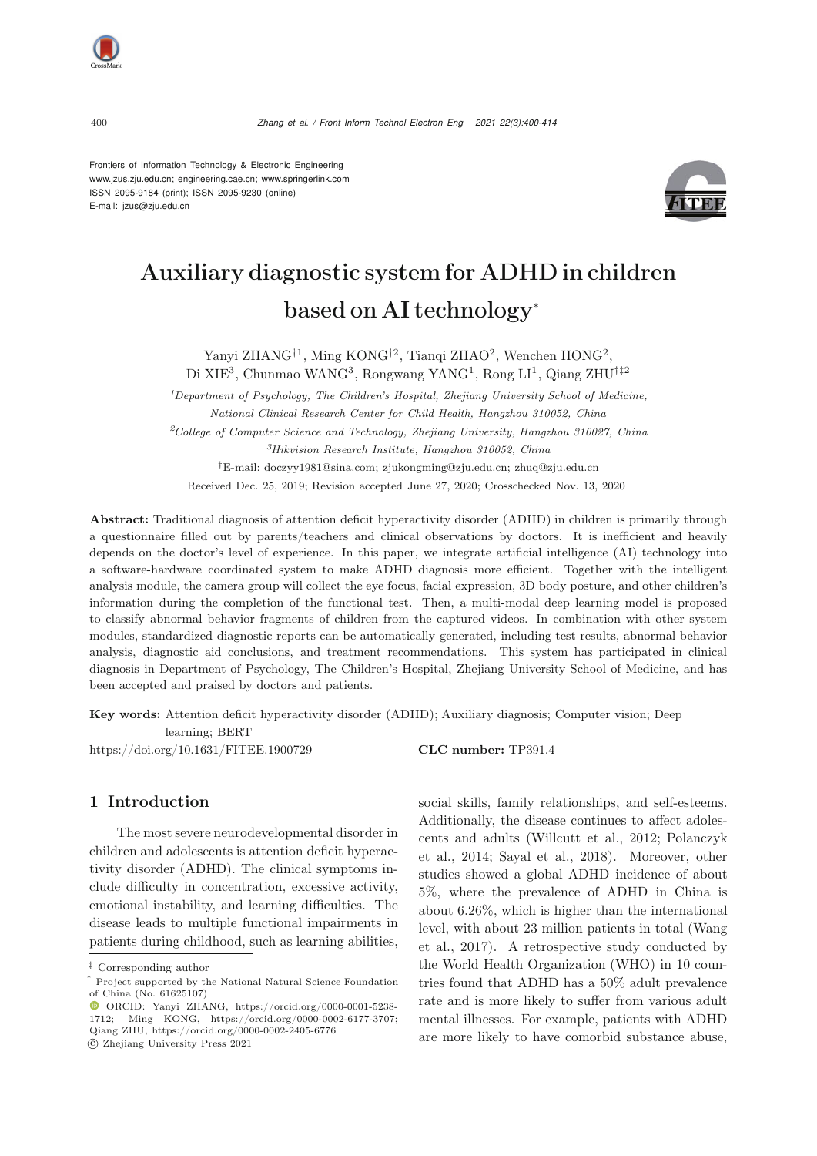Frontiers of Information Technology & Electronic Engineering [www.jzus.zju.edu.cn;](www.jzus.zju.edu.cn) [engineering.cae.cn;](engineering.cae.cn)<www.springerlink.com> ISSN 2095-9184 (print); ISSN 2095-9230 (online) E-mail: jzus@zju.edu.cn



# Auxiliary diagnostic system for ADHD in children based on AI technology<sup>∗</sup>

Yanyi ZHANG<sup>†1</sup>, Ming KONG<sup>†2</sup>, Tianqi ZHAO<sup>2</sup>, Wenchen HONG<sup>2</sup>, Di XIE<sup>3</sup>, Chunmao WANG<sup>3</sup>, Rongwang YANG<sup>1</sup>, Rong LI<sup>1</sup>, Qiang ZHU<sup>†‡2</sup>

*<sup>1</sup>Department of Psychology, The Children's Hospital, Zhejiang University School of Medicine, National Clinical Research Center for Child Health, Hangzhou 310052, China <sup>2</sup>College of Computer Science and Technology, Zhejiang University, Hangzhou 310027, China <sup>3</sup>Hikvision Research Institute, Hangzhou 310052, China †*E-mail: doczyy1981@sina.com; zjukongming@zju.edu.cn; zhuq@zju.edu.cn Received Dec. 25, 2019; Revision accepted June 27, 2020; Crosschecked Nov. 13, 2020

Abstract: Traditional diagnosis of attention deficit hyperactivity disorder (ADHD) in children is primarily through a questionnaire filled out by parents/teachers and clinical observations by doctors. It is inefficient and heavily depends on the doctor's level of experience. In this paper, we integrate artificial intelligence (AI) technology into a software-hardware coordinated system to make ADHD diagnosis more efficient. Together with the intelligent analysis module, the camera group will collect the eye focus, facial expression, 3D body posture, and other children's information during the completion of the functional test. Then, a multi-modal deep learning model is proposed to classify abnormal behavior fragments of children from the captured videos. In combination with other system modules, standardized diagnostic reports can be automatically generated, including test results, abnormal behavior analysis, diagnostic aid conclusions, and treatment recommendations. This system has participated in clinical diagnosis in Department of Psychology, The Children's Hospital, Zhejiang University School of Medicine, and has been accepted and praised by doctors and patients.

Key words: Attention deficit hyperactivity disorder (ADHD); Auxiliary diagnosis; Computer vision; Deep learning; BERT

https://doi.org/10.1631/FITEE.1900729 **CLC number:** TP391.4

1 Introduction

The most severe neurodevelopmental disorder in children and adolescents is attention deficit hyperactivity disorder (ADHD). The clinical symptoms include difficulty in concentration, excessive activity, emotional instability, and learning difficulties. The disease leads to multiple functional impairments in patients during childhood, such as learning abilities,

social skills, family relationships, and self-esteems. Additionally, the disease continues to affect adolescents [and](#page-13-0) [adults](#page-13-0) [\(Willcutt et al.](#page-14-0)[,](#page-13-0) [2012](#page-14-0)[;](#page-13-0) Polanczyk et al., [2014;](#page-13-0) [Sayal et al.](#page-13-1), [2018\)](#page-13-1). Moreover, other studies showed a global ADHD incidence of about 5%, where the prevalence of ADHD in China is about 6.26%, which is higher than the international level, [with](#page-14-1) [about](#page-14-1) [23](#page-14-1) [million](#page-14-1) [patients](#page-14-1) [in](#page-14-1) [total](#page-14-1) [\(](#page-14-1)Wang et al., [2017\)](#page-14-1). A retrospective study conducted by the World Health Organization (WHO) in 10 countries found that ADHD has a 50% adult prevalence rate and is more likely to suffer from various adult mental illnesses. For example, patients with ADHD are more likely to have comorbid substance abuse,

*<sup>‡</sup>* Corresponding author

Project supported by the National Natural Science Foundation of China (No. 61625107)

ORCID: Yanyi ZHANG, https://orcid.org/0000-0001-5238- 1712; Ming KONG, https://orcid.org/0000-0002-6177-3707; Qiang ZHU, https://orcid.org/0000-0002-2405-6776

c Zhejiang University Press 2021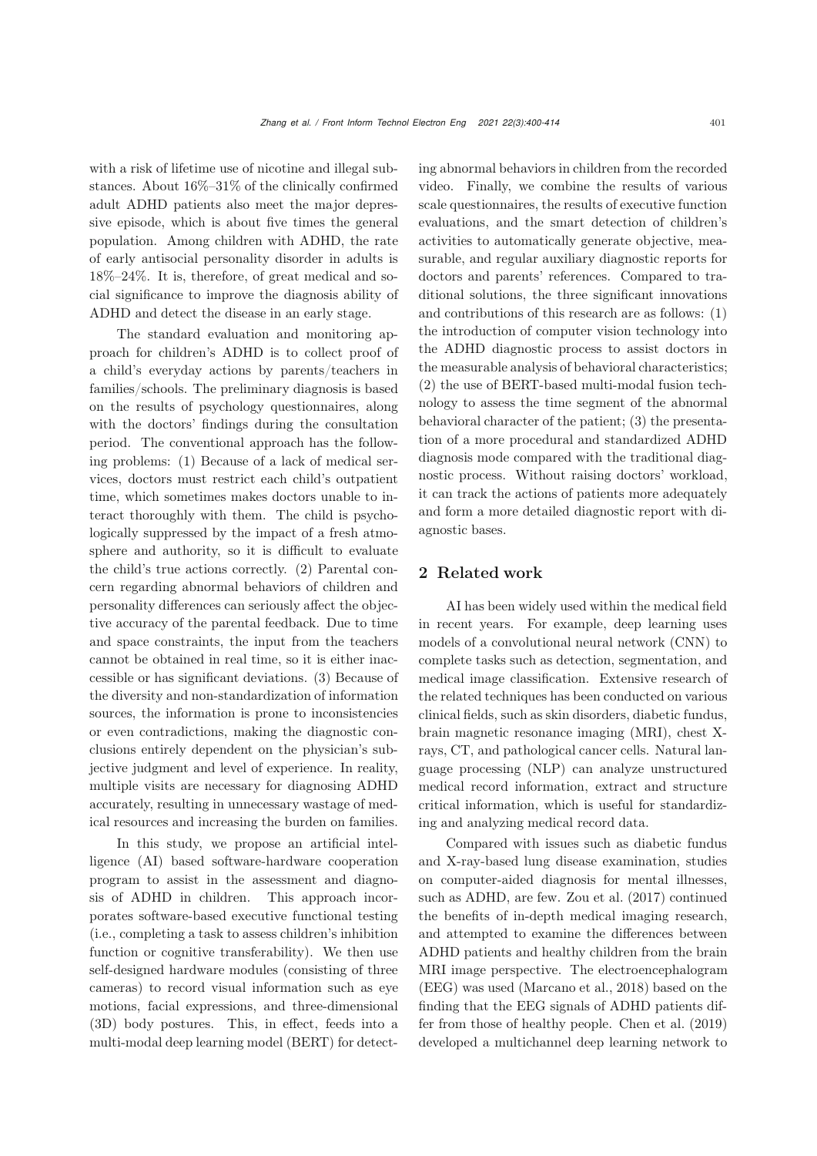with a risk of lifetime use of nicotine and illegal substances. About 16%–31% of the clinically confirmed adult ADHD patients also meet the major depressive episode, which is about five times the general population. Among children with ADHD, the rate of early antisocial personality disorder in adults is 18%–24%. It is, therefore, of great medical and social significance to improve the diagnosis ability of ADHD and detect the disease in an early stage.

The standard evaluation and monitoring approach for children's ADHD is to collect proof of a child's everyday actions by parents/teachers in families/schools. The preliminary diagnosis is based on the results of psychology questionnaires, along with the doctors' findings during the consultation period. The conventional approach has the following problems: (1) Because of a lack of medical services, doctors must restrict each child's outpatient time, which sometimes makes doctors unable to interact thoroughly with them. The child is psychologically suppressed by the impact of a fresh atmosphere and authority, so it is difficult to evaluate the child's true actions correctly. (2) Parental concern regarding abnormal behaviors of children and personality differences can seriously affect the objective accuracy of the parental feedback. Due to time and space constraints, the input from the teachers cannot be obtained in real time, so it is either inaccessible or has significant deviations. (3) Because of the diversity and non-standardization of information sources, the information is prone to inconsistencies or even contradictions, making the diagnostic conclusions entirely dependent on the physician's subjective judgment and level of experience. In reality, multiple visits are necessary for diagnosing ADHD accurately, resulting in unnecessary wastage of medical resources and increasing the burden on families.

In this study, we propose an artificial intelligence (AI) based software-hardware cooperation program to assist in the assessment and diagnosis of ADHD in children. This approach incorporates software-based executive functional testing (i.e., completing a task to assess children's inhibition function or cognitive transferability). We then use self-designed hardware modules (consisting of three cameras) to record visual information such as eye motions, facial expressions, and three-dimensional (3D) body postures. This, in effect, feeds into a multi-modal deep learning model (BERT) for detecting abnormal behaviors in children from the recorded video. Finally, we combine the results of various scale questionnaires, the results of executive function evaluations, and the smart detection of children's activities to automatically generate objective, measurable, and regular auxiliary diagnostic reports for doctors and parents' references. Compared to traditional solutions, the three significant innovations and contributions of this research are as follows: (1) the introduction of computer vision technology into the ADHD diagnostic process to assist doctors in the measurable analysis of behavioral characteristics; (2) the use of BERT-based multi-modal fusion technology to assess the time segment of the abnormal behavioral character of the patient; (3) the presentation of a more procedural and standardized ADHD diagnosis mode compared with the traditional diagnostic process. Without raising doctors' workload, it can track the actions of patients more adequately and form a more detailed diagnostic report with diagnostic bases.

# 2 Related work

AI has been widely used within the medical field in recent years. For example, deep learning uses models of a convolutional neural network (CNN) to complete tasks such as detection, segmentation, and medical image classification. Extensive research of the related techniques has been conducted on various clinical fields, such as skin disorders, diabetic fundus, brain magnetic resonance imaging (MRI), chest Xrays, CT, and pathological cancer cells. Natural language processing (NLP) can analyze unstructured medical record information, extract and structure critical information, which is useful for standardizing and analyzing medical record data.

Compared with issues such as diabetic fundus and X-ray-based lung disease examination, studies on computer-aided diagnosis for mental illnesses, such as ADHD, are few. [Zou et al.](#page-14-2) [\(2017](#page-14-2)) continued the benefits of in-depth medical imaging research, and attempted to examine the differences between ADHD patients and healthy children from the brain MRI image perspective. The electroencephalogram (EEG) was used [\(Marcano et al., 2018](#page-13-2)) based on the finding that the EEG signals of ADHD patients differ from those of healthy people. [Chen et al.](#page-13-3) [\(2019](#page-13-3)) developed a multichannel deep learning network to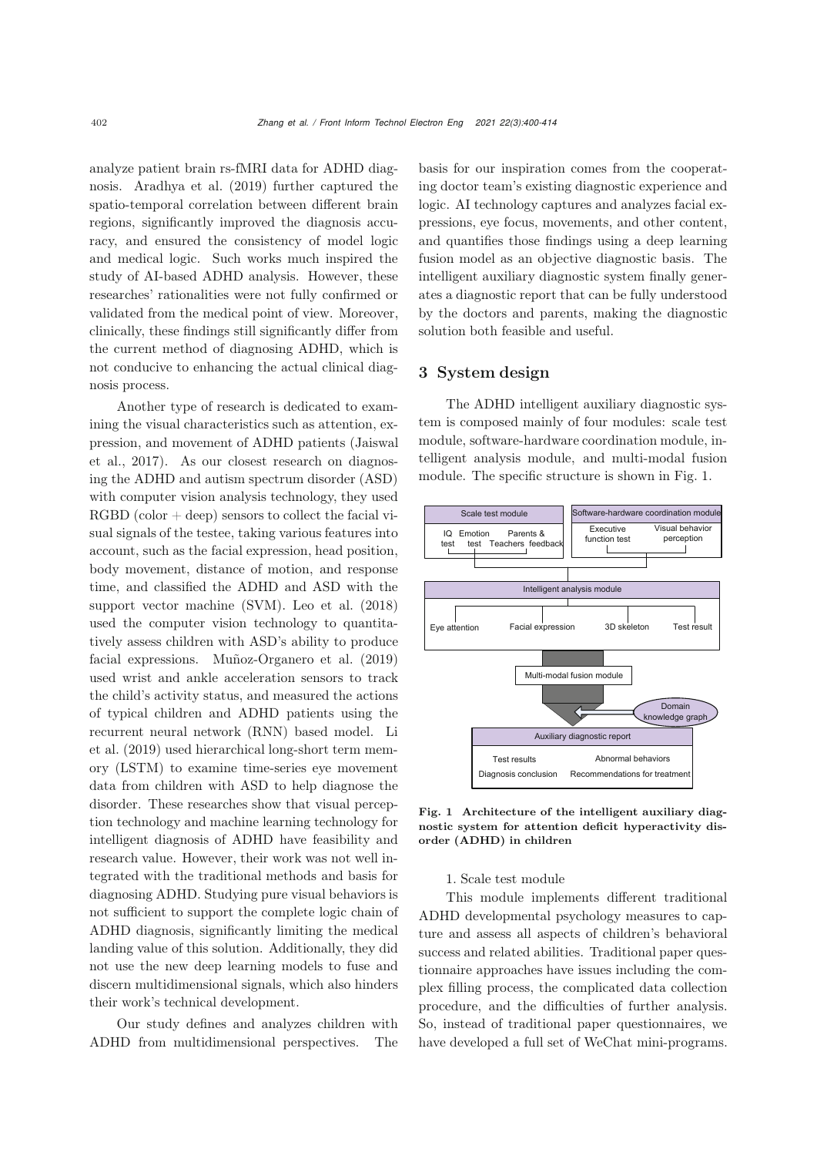analyze patient brain rs-fMRI data for ADHD diagnosis. [Aradhya et al.](#page-12-0) [\(2019\)](#page-12-0) further captured the spatio-temporal correlation between different brain regions, significantly improved the diagnosis accuracy, and ensured the consistency of model logic and medical logic. Such works much inspired the study of AI-based ADHD analysis. However, these researches' rationalities were not fully confirmed or validated from the medical point of view. Moreover, clinically, these findings still significantly differ from the current method of diagnosing ADHD, which is not conducive to enhancing the actual clinical diagnosis process.

Another type of research is dedicated to examining the visual characteristics such as attention, express[ion,](#page-13-4) [and](#page-13-4) [movement](#page-13-4) [of](#page-13-4) [ADHD](#page-13-4) [patients](#page-13-4) [\(](#page-13-4)Jaiswal et al., [2017](#page-13-4)). As our closest research on diagnosing the ADHD and autism spectrum disorder (ASD) with computer vision analysis technology, they used  $RGBD$  (color  $+$  deep) sensors to collect the facial visual signals of the testee, taking various features into account, such as the facial expression, head position, body movement, distance of motion, and response time, and classified the ADHD and ASD with the support vector machine (SVM). [Leo et al.](#page-13-5) [\(2018](#page-13-5)) used the computer vision technology to quantitatively assess children with ASD's ability to produce facial expressions. [Muñoz-Organero et al.](#page-13-6) [\(2019](#page-13-6)) used wrist and ankle acceleration sensors to track the child's activity status, and measured the actions of typical children and ADHD patients using the recu[rrent](#page-13-7) [neural](#page-13-7) [network](#page-13-7) [\(RNN\)](#page-13-7) [based](#page-13-7) [model.](#page-13-7) Li et al. [\(2019\)](#page-13-7) used hierarchical long-short term memory (LSTM) to examine time-series eye movement data from children with ASD to help diagnose the disorder. These researches show that visual perception technology and machine learning technology for intelligent diagnosis of ADHD have feasibility and research value. However, their work was not well integrated with the traditional methods and basis for diagnosing ADHD. Studying pure visual behaviors is not sufficient to support the complete logic chain of ADHD diagnosis, significantly limiting the medical landing value of this solution. Additionally, they did not use the new deep learning models to fuse and discern multidimensional signals, which also hinders their work's technical development.

Our study defines and analyzes children with ADHD from multidimensional perspectives. The basis for our inspiration comes from the cooperating doctor team's existing diagnostic experience and logic. AI technology captures and analyzes facial expressions, eye focus, movements, and other content, and quantifies those findings using a deep learning fusion model as an objective diagnostic basis. The intelligent auxiliary diagnostic system finally generates a diagnostic report that can be fully understood by the doctors and parents, making the diagnostic solution both feasible and useful.

# 3 System design

The ADHD intelligent auxiliary diagnostic system is composed mainly of four modules: scale test module, software-hardware coordination module, intelligent analysis module, and multi-modal fusion module. The specific structure is shown in Fig. [1.](#page-2-0)



<span id="page-2-0"></span>Fig. 1 Architecture of the intelligent auxiliary diagnostic system for attention deficit hyperactivity disorder (ADHD) in children

# 1. Scale test module

This module implements different traditional ADHD developmental psychology measures to capture and assess all aspects of children's behavioral success and related abilities. Traditional paper questionnaire approaches have issues including the complex filling process, the complicated data collection procedure, and the difficulties of further analysis. So, instead of traditional paper questionnaires, we have developed a full set of WeChat mini-programs.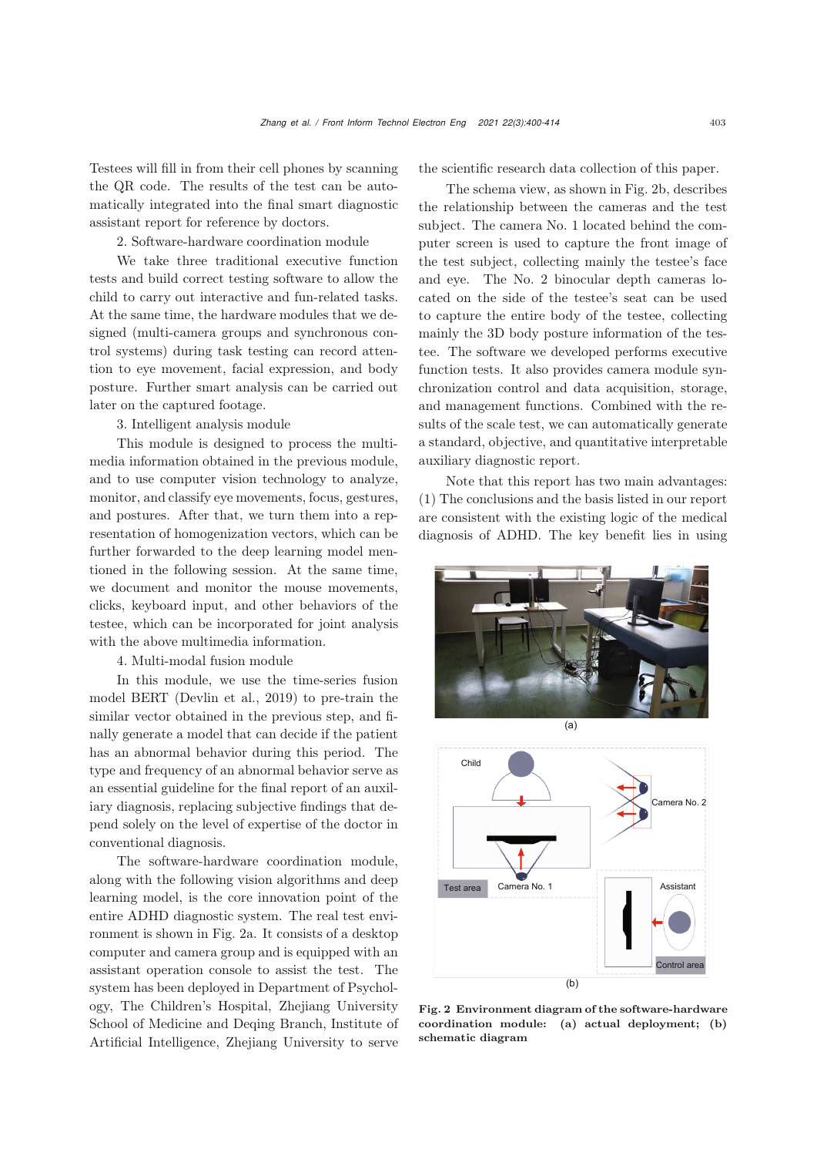Testees will fill in from their cell phones by scanning the QR code. The results of the test can be automatically integrated into the final smart diagnostic assistant report for reference by doctors.

2. Software-hardware coordination module

We take three traditional executive function tests and build correct testing software to allow the child to carry out interactive and fun-related tasks. At the same time, the hardware modules that we designed (multi-camera groups and synchronous control systems) during task testing can record attention to eye movement, facial expression, and body posture. Further smart analysis can be carried out later on the captured footage.

3. Intelligent analysis module

This module is designed to process the multimedia information obtained in the previous module, and to use computer vision technology to analyze, monitor, and classify eye movements, focus, gestures, and postures. After that, we turn them into a representation of homogenization vectors, which can be further forwarded to the deep learning model mentioned in the following session. At the same time, we document and monitor the mouse movements, clicks, keyboard input, and other behaviors of the testee, which can be incorporated for joint analysis with the above multimedia information.

4. Multi-modal fusion module

In this module, we use the time-series fusion model BERT [\(Devlin et al.](#page-13-8), [2019](#page-13-8)) to pre-train the similar vector obtained in the previous step, and finally generate a model that can decide if the patient has an abnormal behavior during this period. The type and frequency of an abnormal behavior serve as an essential guideline for the final report of an auxiliary diagnosis, replacing subjective findings that depend solely on the level of expertise of the doctor in conventional diagnosis.

The software-hardware coordination module, along with the following vision algorithms and deep learning model, is the core innovation point of the entire ADHD diagnostic system. The real test environment is shown in Fig. [2a](#page-3-0). It consists of a desktop computer and camera group and is equipped with an assistant operation console to assist the test. The system has been deployed in Department of Psychology, The Children's Hospital, Zhejiang University School of Medicine and Deqing Branch, Institute of Artificial Intelligence, Zhejiang University to serve the scientific research data collection of this paper.

The schema view, as shown in Fig. [2b](#page-3-0), describes the relationship between the cameras and the test subject. The camera No. 1 located behind the computer screen is used to capture the front image of the test subject, collecting mainly the testee's face and eye. The No. 2 binocular depth cameras located on the side of the testee's seat can be used to capture the entire body of the testee, collecting mainly the 3D body posture information of the testee. The software we developed performs executive function tests. It also provides camera module synchronization control and data acquisition, storage, and management functions. Combined with the results of the scale test, we can automatically generate a standard, objective, and quantitative interpretable auxiliary diagnostic report.

Note that this report has two main advantages: (1) The conclusions and the basis listed in our report are consistent with the existing logic of the medical diagnosis of ADHD. The key benefit lies in using





<span id="page-3-0"></span>Fig. 2 Environment diagram of the software-hardware coordination module: (a) actual deployment; (b) schematic diagram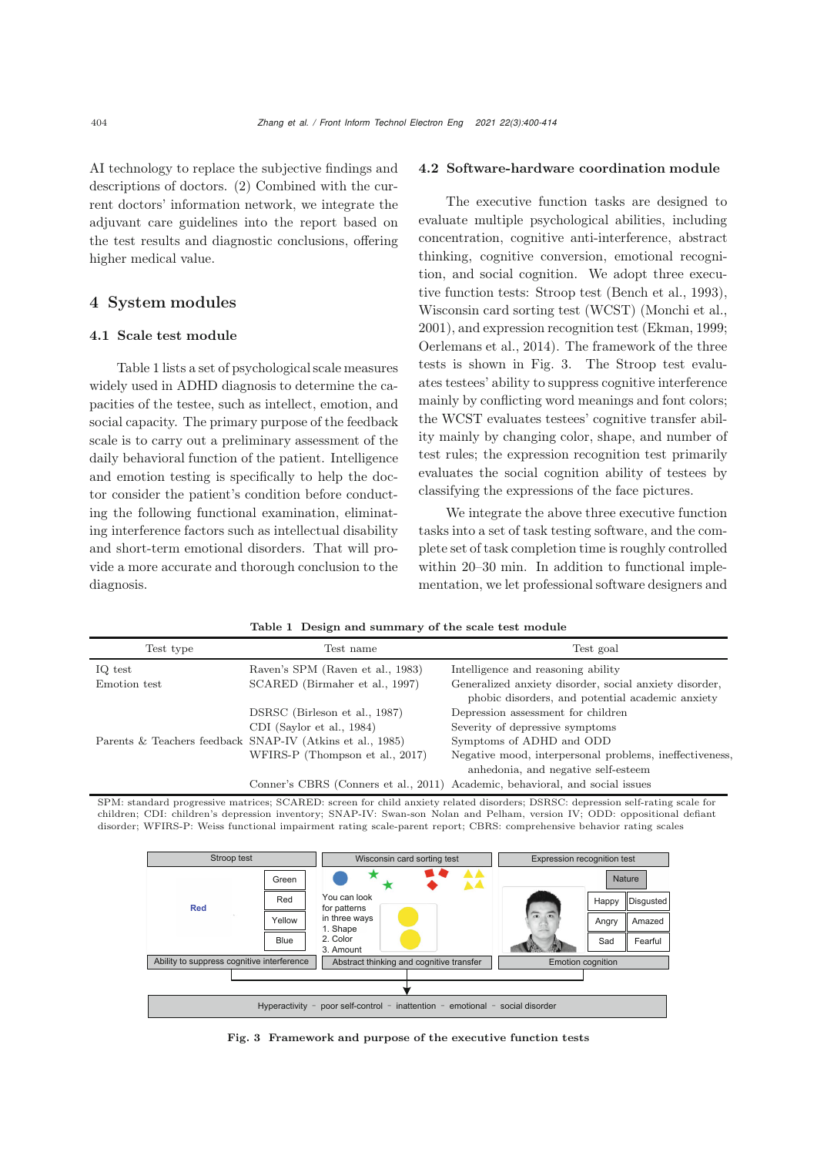AI technology to replace the subjective findings and descriptions of doctors. (2) Combined with the current doctors' information network, we integrate the adjuvant care guidelines into the report based on the test results and diagnostic conclusions, offering higher medical value.

# 4 System modules

# 4.1 Scale test module

Table 1 lists a set of psychological scale measures widely used in ADHD diagnosis to determine the capacities of the testee, such as intellect, emotion, and social capacity. The primary purpose of the feedback scale is to carry out a preliminary assessment of the daily behavioral function of the patient. Intelligence and emotion testing is specifically to help the doctor consider the patient's condition before conducting the following functional examination, eliminating interference factors such as intellectual disability and short-term emotional disorders. That will provide a more accurate and thorough conclusion to the diagnosis.

#### 4.2 Software-hardware coordination module

The executive function tasks are designed to evaluate multiple psychological abilities, including concentration, cognitive anti-interference, abstract thinking, cognitive conversion, emotional recognition, and social cognition. We adopt three executive function tests: Stroop test [\(Bench et al., 1993\)](#page-12-1), Wisconsin card sorting test (WCST) [\(Monchi et al.](#page-13-9), [2001](#page-13-9)), and expression recognition test [\(Ekman](#page-13-10), [1999;](#page-13-10) [Oerlemans et al., 2014](#page-13-11)). The framework of the three tests is shown in Fig. [3.](#page-4-0) The Stroop test evaluates testees' ability to suppress cognitive interference mainly by conflicting word meanings and font colors; the WCST evaluates testees' cognitive transfer ability mainly by changing color, shape, and number of test rules; the expression recognition test primarily evaluates the social cognition ability of testees by classifying the expressions of the face pictures.

We integrate the above three executive function tasks into a set of task testing software, and the complete set of task completion time is roughly controlled within 20–30 min. In addition to functional implementation, we let professional software designers and

| Test type    | Test name                                                 | Test goal                                                                                                  |
|--------------|-----------------------------------------------------------|------------------------------------------------------------------------------------------------------------|
| IQ test      | Raven's SPM (Raven et al., 1983)                          | Intelligence and reasoning ability                                                                         |
| Emotion test | SCARED (Birmaher et al., 1997)                            | Generalized anxiety disorder, social anxiety disorder,<br>phobic disorders, and potential academic anxiety |
|              | DSRSC (Birleson et al., 1987)                             | Depression assessment for children                                                                         |
|              | CDI (Saylor et al., 1984)                                 | Severity of depressive symptoms                                                                            |
|              | Parents & Teachers feedback SNAP-IV (Atkins et al., 1985) | Symptoms of ADHD and ODD                                                                                   |
|              | WFIRS-P (Thompson et al., 2017)                           | Negative mood, interpersonal problems, ineffectiveness,                                                    |
|              |                                                           | anhedonia, and negative self-esteem                                                                        |
|              |                                                           | Conner's CBRS (Conners et al., 2011) Academic, behavioral, and social issues                               |

SPM: standard progressive matrices; SCARED: screen for child anxiety related disorders; DSRSC: depression self-rating scale for children; CDI: children's depression inventory; SNAP-IV: Swan-son Nolan and Pelham, version IV; ODD: oppositional defiant disorder; WFIRS-P: Weiss functional impairment rating scale-parent report; CBRS: comprehensive behavior rating scales



<span id="page-4-0"></span>Fig. 3 Framework and purpose of the executive function tests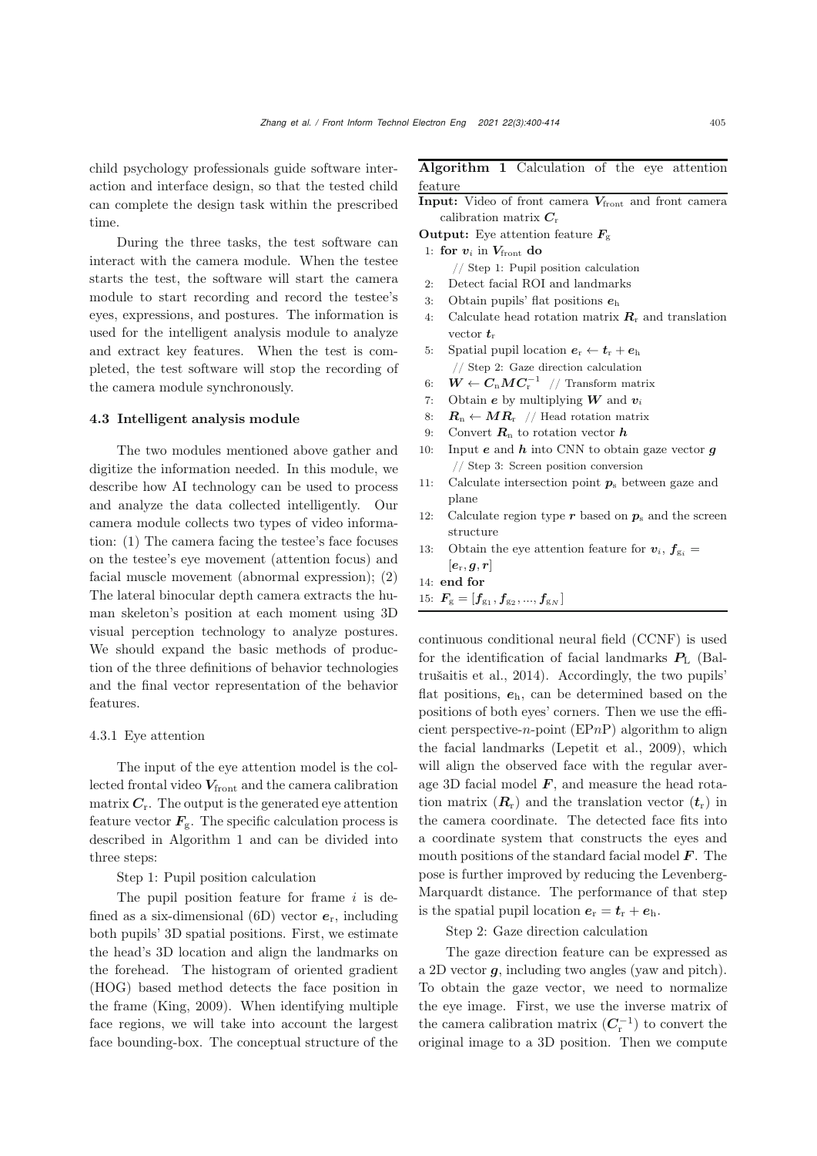child psychology professionals guide software interaction and interface design, so that the tested child can complete the design task within the prescribed time.

During the three tasks, the test software can interact with the camera module. When the testee starts the test, the software will start the camera module to start recording and record the testee's eyes, expressions, and postures. The information is used for the intelligent analysis module to analyze and extract key features. When the test is completed, the test software will stop the recording of the camera module synchronously.

#### 4.3 Intelligent analysis module

The two modules mentioned above gather and digitize the information needed. In this module, we describe how AI technology can be used to process and analyze the data collected intelligently. Our camera module collects two types of video information: (1) The camera facing the testee's face focuses on the testee's eye movement (attention focus) and facial muscle movement (abnormal expression); (2) The lateral binocular depth camera extracts the human skeleton's position at each moment using 3D visual perception technology to analyze postures. We should expand the basic methods of production of the three definitions of behavior technologies and the final vector representation of the behavior features.

## 4.3.1 Eye attention

The input of the eye attention model is the collected frontal video  $V_{front}$  and the camera calibration matrix  $C_r$ . The output is the generated eye attention feature vector  $F_{\rm g}$ . The specific calculation process is described in Algorithm [1](#page-5-0) and can be divided into three steps:

Step 1: Pupil position calculation

The pupil position feature for frame  $i$  is defined as a six-dimensional (6D) vector *e*r, including both pupils' 3D spatial positions. First, we estimate the head's 3D location and align the landmarks on the forehead. The histogram of oriented gradient (HOG) based method detects the face position in the frame [\(King, 2009\)](#page-13-17). When identifying multiple face regions, we will take into account the largest face bounding-box. The conceptual structure of the

# <span id="page-5-0"></span>Algorithm 1 Calculation of the eye attention feature

|  | <b>Input:</b> Video of front camera $V_{front}$ and front camera |  |  |  |
|--|------------------------------------------------------------------|--|--|--|
|  | calibration matrix $C_r$                                         |  |  |  |
|  | $\Omega$ utnut. Eug attention feature $E$                        |  |  |  |

**Output:** Eye attention feature  $\mathbf{F}_{g}$ 

- 1: for  $v_i$  in  $V_{front}$  do
	- // Step 1: Pupil position calculation
- 2: Detect facial ROI and landmarks
- 3: Obtain pupils' flat positions *<sup>e</sup>*<sup>h</sup>
- Calculate head rotation matrix  $R_r$  and translation vector  $t_r$
- 5: Spatial pupil location  $e_r \leftarrow t_r + e_h$ // Step 2: Gaze direction calculation
- 
- 6:  $\mathbf{W} \leftarrow \mathbf{C}_{n} \mathbf{M} \mathbf{C}_{r}^{-1}$  // Transform matrix<br>7: Obtain *e* by multiplying **W** and **v**<sub>i</sub>
- 7: Obtain *e* by multiplying *W* and *v<sub>i</sub>* 8:  $\mathbf{R}_n \leftarrow \mathbf{MR}_r$  // Head rotation matri 8:  $\mathbf{R}_{n} \leftarrow \mathbf{MR}_{r}$  // Head rotation matrix<br>9: Convert  $\mathbf{R}_{n}$  to rotation vector **h**.
- 9: Convert  $\mathbf{R}_n$  to rotation vector  $\mathbf{h}$ <br>10: Input **e** and  $\mathbf{h}$  into CNN to obta
- Input  $e$  and  $h$  into CNN to obtain gaze vector  $g$ // Step 3: Screen position conversion
- 11: Calculate intersection point *<sup>p</sup>*<sup>s</sup> between gaze and plane
- 12: Calculate region type  $r$  based on  $p_s$  and the screen structure
- 13: Obtain the eye attention feature for  $v_i$ ,  $f_{g_i}$  =  $[\bm{e}_{\mathrm{r}}, \bm{g}, \bm{r}]$
- 14: end for
- 15:  $F_{\rm g} = [f_{\rm g_1}, f_{\rm g_2}, ..., f_{\rm g_N}]$

continuous conditional neural field (CCNF) is used for the identi[fication](#page-12-4) [of](#page-12-4) [facial](#page-12-4) [landmarks](#page-12-4) *P*<sup>L</sup> (Baltrušaitis et al., [2014\)](#page-12-4). Accordingly, the two pupils' flat positions, *e*h, can be determined based on the positions of both eyes' corners. Then we use the efficient perspective-*n*-point ( $E P n P$ ) algorithm to align the facial landmarks [\(Lepetit et al.](#page-13-18), [2009](#page-13-18)), which will align the observed face with the regular average 3D facial model *F*, and measure the head rotation matrix  $(R_r)$  and the translation vector  $(t_r)$  in the camera coordinate. The detected face fits into a coordinate system that constructs the eyes and mouth positions of the standard facial model *F*. The pose is further improved by reducing the Levenberg-Marquardt distance. The performance of that step is the spatial pupil location  $e_r = t_r + e_h$ .

Step 2: Gaze direction calculation

The gaze direction feature can be expressed as a 2D vector *g*, including two angles (yaw and pitch). To obtain the gaze vector, we need to normalize the eye image. First, we use the inverse matrix of the camera calibration matrix  $(C<sub>r</sub><sup>-1</sup>)$  to convert the original image to a 3D position. Then we compute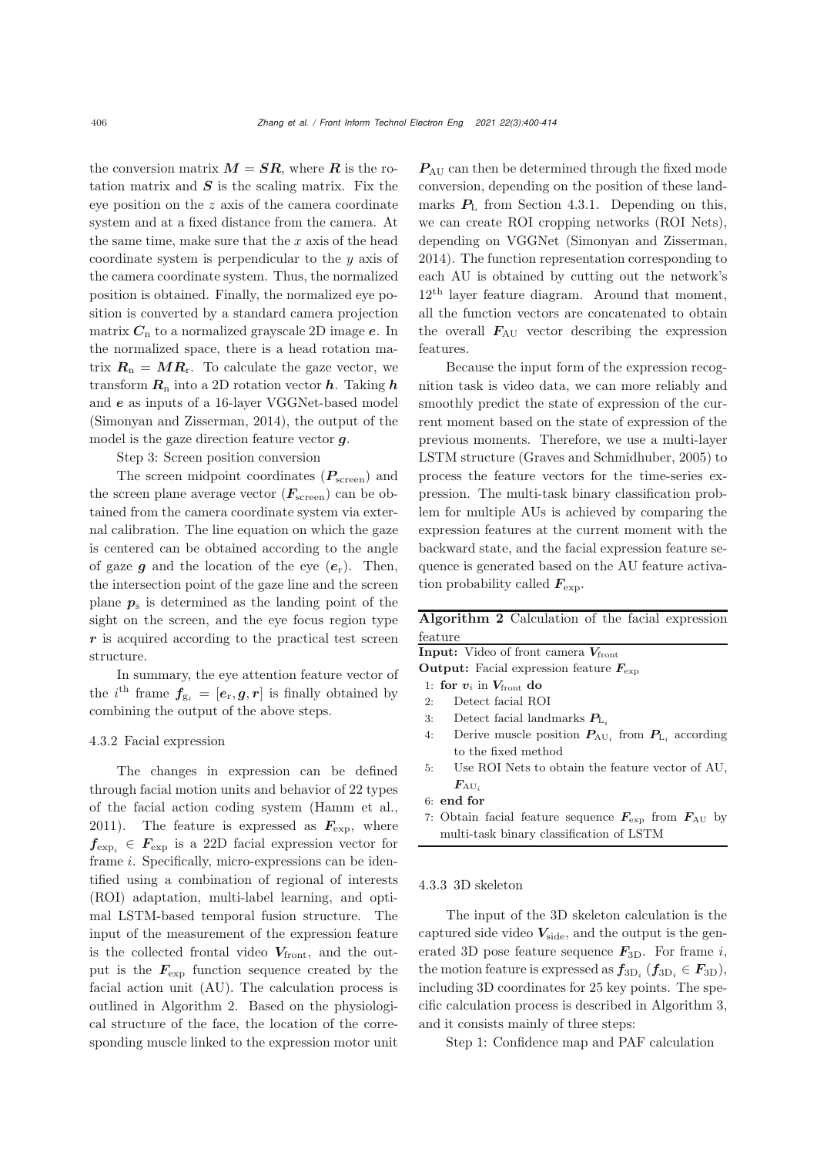the conversion matrix  $M = SR$ , where R is the rotation matrix and  $S$  is the scaling matrix. Fix the eye position on the z axis of the camera coordinate system and at a fixed distance from the camera. At the same time, make sure that the  $x$  axis of the head coordinate system is perpendicular to the y axis of the camera coordinate system. Thus, the normalized position is obtained. Finally, the normalized eye position is converted by a standard camera projection matrix  $C_n$  to a normalized grayscale 2D image  $e$ . In the normalized space, there is a head rotation matrix  $R_n = MR_r$ . To calculate the gaze vector, we transform  $\mathbf{R}_n$  into a 2D rotation vector  $\boldsymbol{h}$ . Taking  $\boldsymbol{h}$ and *e* as inputs of a 16-layer VGGNet-based model [\(Simonyan and Zisserman](#page-13-19), [2014\)](#page-13-19), the output of the model is the gaze direction feature vector *g*.

Step 3: Screen position conversion

The screen midpoint coordinates (*P*screen) and the screen plane average vector  $(F_{\text{screen}})$  can be obtained from the camera coordinate system via external calibration. The line equation on which the gaze is centered can be obtained according to the angle of gaze  $q$  and the location of the eye  $(e_r)$ . Then, the intersection point of the gaze line and the screen plane  $p_s$  is determined as the landing point of the sight on the screen, and the eye focus region type *r* is acquired according to the practical test screen structure.

In summary, the eye attention feature vector of the *i*<sup>th</sup> frame  $f_{g_i} = [e_r, g, r]$  is finally obtained by combining the output of the above steps.

## 4.3.2 Facial expression

The changes in expression can be defined through facial motion units and behavior of 22 types of the facial action coding system [\(Hamm et al.](#page-13-20), [2011](#page-13-20)). The feature is expressed as  $\mathbf{F}_{\text{exp}}$ , where  $f_{\text{exp}_i} \in F_{\text{exp}}$  is a 22D facial expression vector for frame i. Specifically, micro-expressions can be identified using a combination of regional of interests (ROI) adaptation, multi-label learning, and optimal LSTM-based temporal fusion structure. The input of the measurement of the expression feature is the collected frontal video  $V_{front}$ , and the output is the  $F_{\text{exp}}$  function sequence created by the facial action unit (AU). The calculation process is outlined in Algorithm [2.](#page-6-0) Based on the physiological structure of the face, the location of the corresponding muscle linked to the expression motor unit

*P*AU can then be determined through the fixed mode conversion, depending on the position of these landmarks  $P_L$  from Section 4.3.1. Depending on this, we can create ROI cropping networks (ROI Nets), depending on VGGNet [\(Simonyan and Zisserman,](#page-13-19) [2014](#page-13-19)). The function representation corresponding to each AU is obtained by cutting out the network's 12<sup>th</sup> layer feature diagram. Around that moment, all the function vectors are concatenated to obtain the overall  $F_{AU}$  vector describing the expression features.

Because the input form of the expression recognition task is video data, we can more reliably and smoothly predict the state of expression of the current moment based on the state of expression of the previous moments. Therefore, we use a multi-layer LSTM structure [\(Graves and Schmidhuber](#page-13-21), [2005](#page-13-21)) to process the feature vectors for the time-series expression. The multi-task binary classification problem for multiple AUs is achieved by comparing the expression features at the current moment with the backward state, and the facial expression feature sequence is generated based on the AU feature activation probability called  $\mathbf{F}_{\text{exp}}$ .

<span id="page-6-0"></span>Algorithm 2 Calculation of the facial expression feature

**Input:** Video of front camera  $V_{front}$ 

Output: Facial expression feature  $F_{\text{exp}}$ 

- 1: for  $v_i$  in  $V_{front}$  do<br>2: Detect facial RC
- Detect facial ROI
- 3: Detect facial landmarks  $P_{L_i}$ <br>4: Derive muscle position  $P_{\text{AII}}$
- Derive muscle position  $P_{AU_i}$  from  $P_{L_i}$  according to the fixed method
- 5: Use ROI Nets to obtain the feature vector of AU,  $\bm{F}_{\mathrm{AU}_i}$
- 6: end for

7: Obtain facial feature sequence *<sup>F</sup>*exp from *<sup>F</sup>*AU by multi-task binary classification of LSTM

## 4.3.3 3D skeleton

The input of the 3D skeleton calculation is the captured side video  $V_{\text{side}}$ , and the output is the generated 3D pose feature sequence  $F_{3D}$ . For frame *i*, the motion feature is expressed as  $f_{3D_i}$  ( $f_{3D_i} \in F_{3D}$ ), including 3D coordinates for 25 key points. The specific calculation process is described in Algorithm [3,](#page-7-0) and it consists mainly of three steps:

Step 1: Confidence map and PAF calculation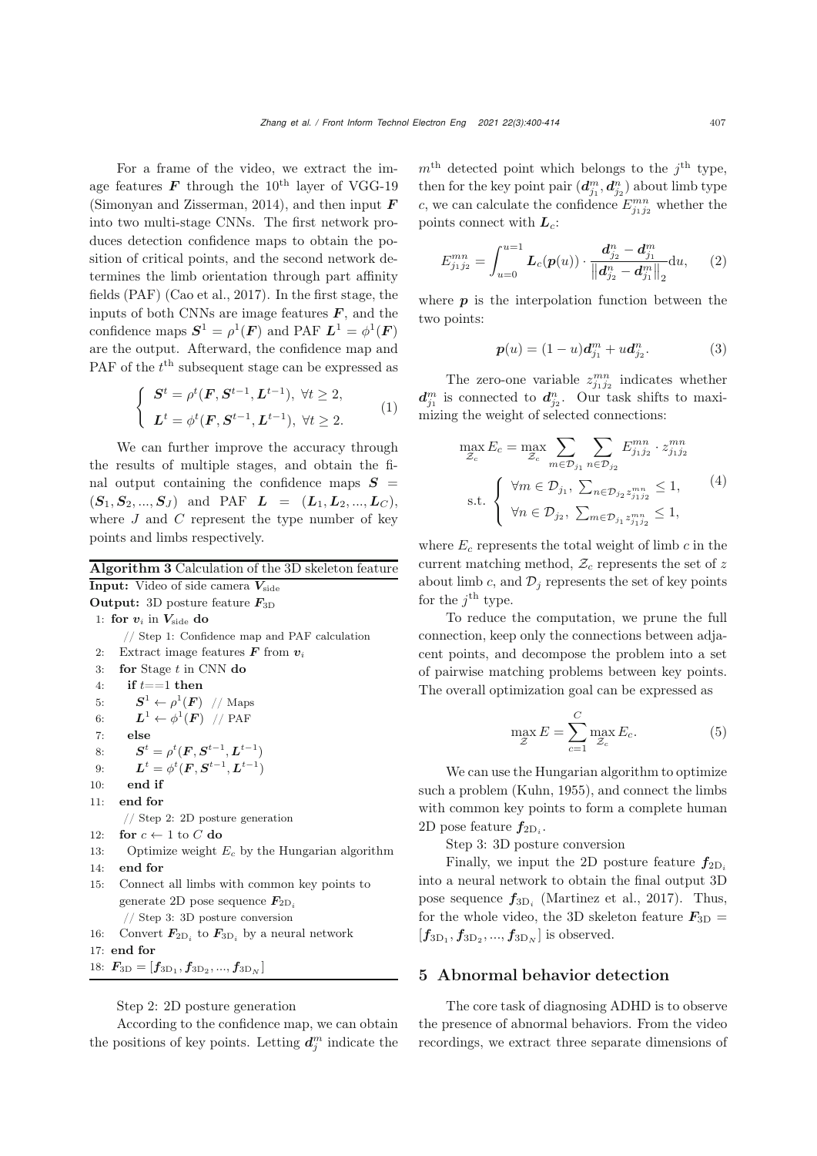For a frame of the video, we extract the image features  $\boldsymbol{F}$  through the 10<sup>th</sup> layer of VGG-19 [\(Simonyan and Zisserman, 2014\)](#page-13-19), and then input *F* into two multi-stage CNNs. The first network produces detection confidence maps to obtain the position of critical points, and the second network determines the limb orientation through part affinity fields (PAF) [\(Cao et al.](#page-13-22), [2017\)](#page-13-22). In the first stage, the inputs of both CNNs are image features  $\boldsymbol{F}$ , and the confidence maps  $S^1 = \rho^1(F)$  and PAF  $L^1 = \phi^1(F)$ are the output. Afterward, the confidence map and PAF of the  $t^{\text{th}}$  subsequent stage can be expressed as

$$
\begin{cases}\n\mathbf{S}^{t} = \rho^{t}(\mathbf{F}, \mathbf{S}^{t-1}, \mathbf{L}^{t-1}), \ \forall t \geq 2, \\
\mathbf{L}^{t} = \phi^{t}(\mathbf{F}, \mathbf{S}^{t-1}, \mathbf{L}^{t-1}), \ \forall t \geq 2.\n\end{cases}
$$
\n(1)

We can further improve the accuracy through the results of multiple stages, and obtain the final output containing the confidence maps  $S =$  $(S_1, S_2, ..., S_J)$  and PAF  $L = (L_1, L_2, ..., L_C)$ , where  $J$  and  $C$  represent the type number of key points and limbs respectively.

<span id="page-7-0"></span>Algorithm 3 Calculation of the 3D skeleton feature **Input:** Video of side camera  $V_{\rm side}$ Output: 3D posture feature *<sup>F</sup>*3D 1: for  $v_i$  in  $V_{\text{side}}$  do // Step 1: Confidence map and PAF calculation 2: Extract image features  $\boldsymbol{F}$  from  $\boldsymbol{v}_i$ <br>3: **for** Stage  $t$  in CNN **do** for Stage  $t$  in CNN do 4: if  $t == 1$  then 5:  $S^1 \leftarrow \rho^1(\mathbf{F})$  // Maps<br>6:  $L^1 \leftarrow \phi^1(\mathbf{F})$  // PAF 6:  $L^1 \leftarrow \phi^1(\mathbf{F})$  // PAF<br>7: **else** 7: else 8:  $S^t = \rho^t(F, S^{t-1}, L^{t-1})$ <br>0.  $I^t = \phi^t(F, S^{t-1}, L^{t-1})$ 9:  $L^t = \phi^t(F, S^{t-1}, L^{t-1})$ <br>
exists 10: end if 11: end for // Step 2: 2D posture generation 12: for  $c \leftarrow 1$  to C do<br>13: Optimize weight Optimize weight  $E_c$  by the Hungarian algorithm 14: end for 15: Connect all limbs with common key points to generate 2D pose sequence  $\mathbf{F}_{2\text{D}_i}$ // Step 3: 3D posture conversion 16: Convert  $\mathbf{F}_{2\text{D}_i}$  to  $\mathbf{F}_{3\text{D}_i}$  by a neural network 17: end for 18:  $\bm{F}_{3D} = [\bm{f}_{3D_1}, \bm{f}_{3D_2}, ..., \bm{f}_{3D_N}]$ 

Step 2: 2D posture generation

According to the confidence map, we can obtain the positions of key points. Letting  $d_j^m$  indicate the  $m<sup>th</sup> detected point which belongs to the *j<sup>th</sup>* type,$ then for the key point pair  $(d_{j_1}^m, d_{j_2}^n)$  about limb type *c*, we can calculate the confidence  $E^{mn}_{j_1j_2}$  whether the points connect with *Lc*:

$$
E_{j_1 j_2}^{mn} = \int_{u=0}^{u=1} L_c(p(u)) \cdot \frac{d_{j_2}^n - d_{j_1}^m}{\left\| d_{j_2}^n - d_{j_1}^m \right\|_2} du,
$$
 (2)

where  $p$  is the interpolation function between the two points:

$$
\boldsymbol{p}(u) = (1-u)\boldsymbol{d}_{j_1}^m + u\boldsymbol{d}_{j_2}^n.
$$
 (3)

The zero-one variable  $z_{j_1j_2}^{mn}$  indicates whether  $d_{j_1}^m$  is connected to  $d_{j_2}^n$ . Our task shifts to maximizing the weight of selected connections:

$$
\max_{\mathcal{Z}_c} E_c = \max_{\mathcal{Z}_c} \sum_{m \in \mathcal{D}_{j_1}} \sum_{n \in \mathcal{D}_{j_2}} E_{j_1 j_2}^{mn} \cdot z_{j_1 j_2}^{mn}
$$
\n
$$
\text{s.t.} \begin{cases} \forall m \in \mathcal{D}_{j_1}, \sum_{n \in \mathcal{D}_{j_2}} z_{j_1 j_2}^{mn} \le 1, \\ \forall n \in \mathcal{D}_{j_2}, \sum_{m \in \mathcal{D}_{j_1}} z_{j_1 j_2}^{mn} \le 1, \end{cases} (4)
$$

where  $E_c$  represents the total weight of limb  $c$  in the current matching method,  $\mathcal{Z}_c$  represents the set of z about limb c, and  $\mathcal{D}_i$  represents the set of key points for the  $i^{\text{th}}$  type.

To reduce the computation, we prune the full connection, keep only the connections between adjacent points, and decompose the problem into a set of pairwise matching problems between key points. The overall optimization goal can be expressed as

$$
\max_{\mathcal{Z}} E = \sum_{c=1}^{C} \max_{\mathcal{Z}_c} E_c.
$$
 (5)

We can use the Hungarian algorithm to optimize such a problem [\(Kuhn](#page-13-23), [1955\)](#page-13-23), and connect the limbs with common key points to form a complete human 2D pose feature  $f_{2D_i}$ .

Step 3: 3D posture conversion

Finally, we input the 2D posture feature  $f_{2D_i}$ into a neural network to obtain the final output 3D pose sequence  $f_{3D_i}$  [\(Martinez et al.](#page-13-24), [2017](#page-13-24)). Thus, for the whole video, the 3D skeleton feature  $F_{3D}$  =  $[f_{3D_1}, f_{3D_2}, ..., f_{3D_N}]$  is observed.

# 5 Abnormal behavior detection

The core task of diagnosing ADHD is to observe the presence of abnormal behaviors. From the video recordings, we extract three separate dimensions of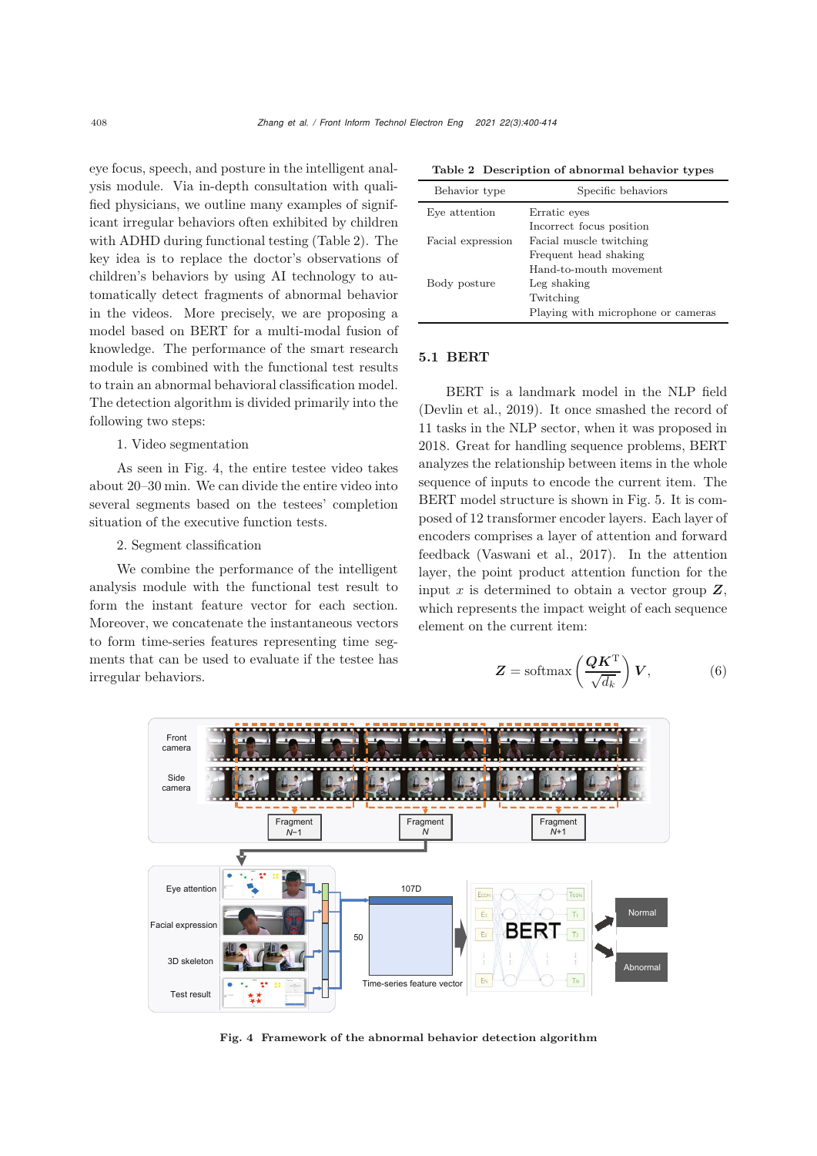eye focus, speech, and posture in the intelligent analysis module. Via in-depth consultation with qualified physicians, we outline many examples of significant irregular behaviors often exhibited by children with ADHD during functional testing (Table 2). The key idea is to replace the doctor's observations of children's behaviors by using AI technology to automatically detect fragments of abnormal behavior in the videos. More precisely, we are proposing a model based on BERT for a multi-modal fusion of knowledge. The performance of the smart research module is combined with the functional test results to train an abnormal behavioral classification model. The detection algorithm is divided primarily into the following two steps:

# 1. Video segmentation

As seen in Fig. [4,](#page-8-0) the entire testee video takes about 20–30 min. We can divide the entire video into several segments based on the testees' completion situation of the executive function tests.

# 2. Segment classification

We combine the performance of the intelligent analysis module with the functional test result to form the instant feature vector for each section. Moreover, we concatenate the instantaneous vectors to form time-series features representing time segments that can be used to evaluate if the testee has irregular behaviors.

| Behavior type     | Specific behaviors                 |
|-------------------|------------------------------------|
| Eye attention     | Erratic eyes                       |
|                   | Incorrect focus position           |
| Facial expression | Facial muscle twitching            |
|                   | Frequent head shaking              |
|                   | Hand-to-mouth movement             |
| Body posture      | Leg shaking                        |
|                   | Twitching                          |
|                   | Playing with microphone or cameras |
|                   |                                    |

Table 2 Description of abnormal behavior types

# 5.1 BERT

BERT is a landmark model in the NLP field [\(Devlin et al., 2019](#page-13-8)). It once smashed the record of 11 tasks in the NLP sector, when it was proposed in 2018. Great for handling sequence problems, BERT analyzes the relationship between items in the whole sequence of inputs to encode the current item. The BERT model structure is shown in Fig. [5.](#page-9-0) It is composed of 12 transformer encoder layers. Each layer of encoders comprises a layer of attention and forward feedback [\(Vaswani et al.](#page-14-3), [2017\)](#page-14-3). In the attention layer, the point product attention function for the input  $x$  is determined to obtain a vector group  $\mathbf{Z}$ , which represents the impact weight of each sequence element on the current item:

$$
Z = \text{softmax}\left(\frac{QK^{\text{T}}}{\sqrt{d_k}}\right)V, \tag{6}
$$



<span id="page-8-0"></span>Fig. 4 Framework of the abnormal behavior detection algorithm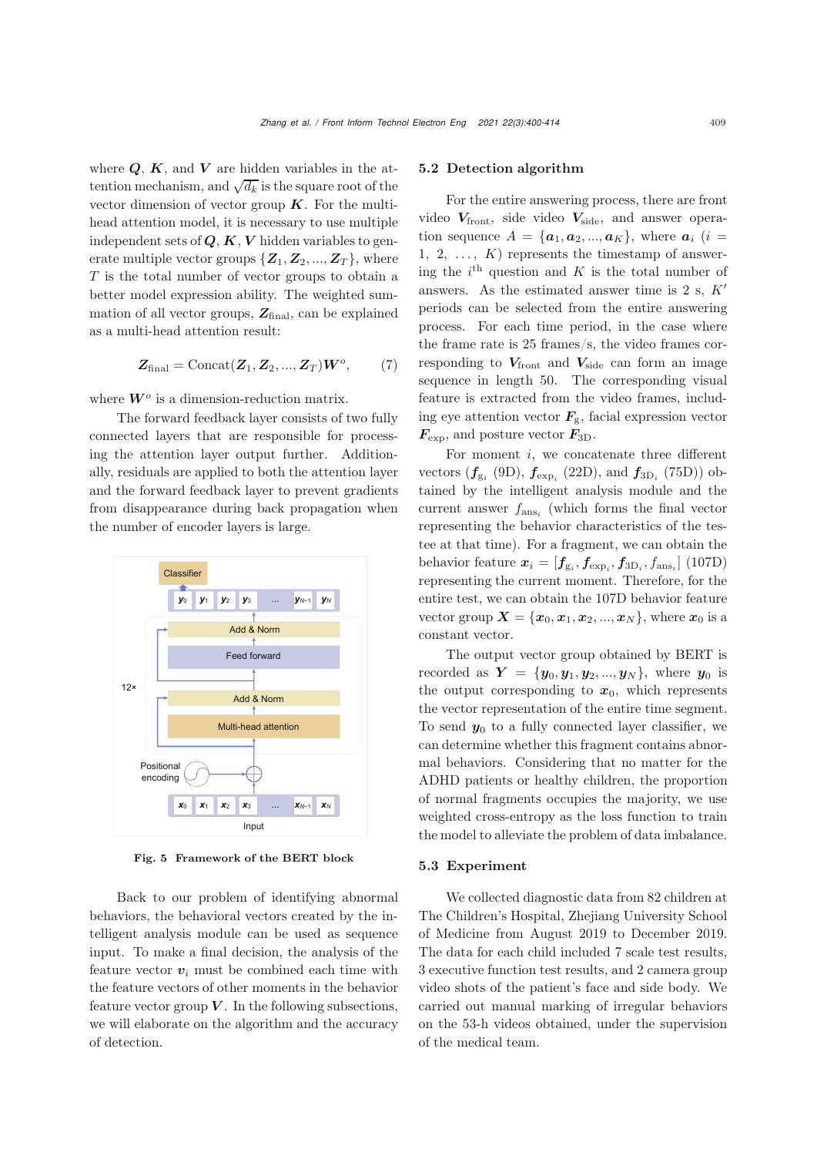where  $Q$ ,  $K$ , and  $V$  are hidden variables in the attention mechanism, and  $\sqrt{d_k}$  is the square root of the vector dimension of vector group *K*. For the multihead attention model, it is necessary to use multiple independent sets of *Q*, *K*, *V* hidden variables to generate multiple vector groups  $\{Z_1, Z_2, ..., Z_T\}$ , where T is the total number of vector groups to obtain a better model expression ability. The weighted summation of all vector groups,  $Z_{\text{final}}$ , can be explained as a multi-head attention result:

$$
\mathbf{Z}_{\text{final}} = \text{Concat}(\mathbf{Z}_1, \mathbf{Z}_2, ..., \mathbf{Z}_T)\mathbf{W}^o, \qquad (7)
$$

where  $W^o$  is a dimension-reduction matrix.

The forward feedback layer consists of two fully connected layers that are responsible for processing the attention layer output further. Additionally, residuals are applied to both the attention layer and the forward feedback layer to prevent gradients from disappearance during back propagation when the number of encoder layers is large.



<span id="page-9-0"></span>Fig. 5 Framework of the BERT block

Back to our problem of identifying abnormal behaviors, the behavioral vectors created by the intelligent analysis module can be used as sequence input. To make a final decision, the analysis of the feature vector  $v_i$  must be combined each time with the feature vectors of other moments in the behavior feature vector group  $V$ . In the following subsections, we will elaborate on the algorithm and the accuracy of detection.

#### 5.2 Detection algorithm

For the entire answering process, there are front video  $V_{\text{front}}$ , side video  $V_{\text{side}}$ , and answer operation sequence  $A = \{a_1, a_2, ..., a_K\}$ , where  $a_i$  (*i* = 1, 2, ...,  $K$  represents the timestamp of answering the  $i^{\text{th}}$  question and K is the total number of answers. As the estimated answer time is 2 s,  $K'$ periods can be selected from the entire answering process. For each time period, in the case where the frame rate is 25 frames/s, the video frames corresponding to  $V_{\text{front}}$  and  $V_{\text{side}}$  can form an image sequence in length 50. The corresponding visual feature is extracted from the video frames, including eye attention vector  $\mathbf{F}_{g}$ , facial expression vector  $F_{\text{exp}}$ , and posture vector  $F_{3D}$ .

For moment  $i$ , we concatenate three different vectors  $(f_{g_i}$  (9D),  $f_{\text{exp}_i}$  (22D), and  $f_{3D_i}$  (75D)) obtained by the intelligent analysis module and the current answer fans*<sup>i</sup>* (which forms the final vector representing the behavior characteristics of the testee at that time). For a fragment, we can obtain the behavior feature  $\mathbf{x}_i = [\mathbf{f}_{g_i}, \mathbf{f}_{exp_i}, \mathbf{f}_{3D_i}, f_{ans_i}]$  (107D) representing the current moment. Therefore, for the entire test, we can obtain the 107D behavior feature vector group  $X = \{x_0, x_1, x_2, ..., x_N\}$ , where  $x_0$  is a constant vector.

The output vector group obtained by BERT is recorded as  $Y = \{y_0, y_1, y_2, ..., y_N\}$ , where  $y_0$  is the output corresponding to  $x_0$ , which represents the vector representation of the entire time segment. To send  $y_0$  to a fully connected layer classifier, we can determine whether this fragment contains abnormal behaviors. Considering that no matter for the ADHD patients or healthy children, the proportion of normal fragments occupies the majority, we use weighted cross-entropy as the loss function to train the model to alleviate the problem of data imbalance.

# 5.3 Experiment

We collected diagnostic data from 82 children at The Children's Hospital, Zhejiang University School of Medicine from August 2019 to December 2019. The data for each child included 7 scale test results, 3 executive function test results, and 2 camera group video shots of the patient's face and side body. We carried out manual marking of irregular behaviors on the 53-h videos obtained, under the supervision of the medical team.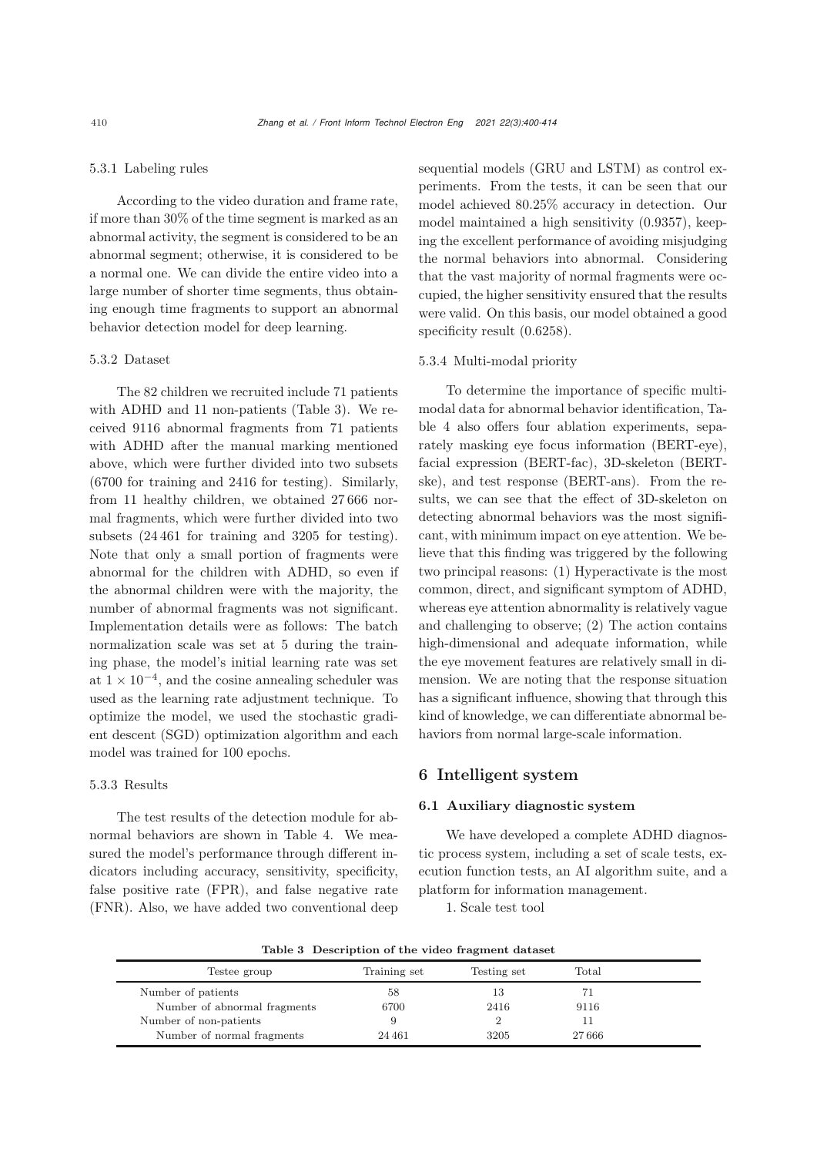#### 5.3.1 Labeling rules

According to the video duration and frame rate, if more than 30% of the time segment is marked as an abnormal activity, the segment is considered to be an abnormal segment; otherwise, it is considered to be a normal one. We can divide the entire video into a large number of shorter time segments, thus obtaining enough time fragments to support an abnormal behavior detection model for deep learning.

## 5.3.2 Dataset

The 82 children we recruited include 71 patients with ADHD and 11 non-patients (Table 3). We received 9116 abnormal fragments from 71 patients with ADHD after the manual marking mentioned above, which were further divided into two subsets (6700 for training and 2416 for testing). Similarly, from 11 healthy children, we obtained 27 666 normal fragments, which were further divided into two subsets (24 461 for training and 3205 for testing). Note that only a small portion of fragments were abnormal for the children with ADHD, so even if the abnormal children were with the majority, the number of abnormal fragments was not significant. Implementation details were as follows: The batch normalization scale was set at 5 during the training phase, the model's initial learning rate was set at  $1 \times 10^{-4}$ , and the cosine annealing scheduler was used as the learning rate adjustment technique. To optimize the model, we used the stochastic gradient descent (SGD) optimization algorithm and each model was trained for 100 epochs.

#### 5.3.3 Results

The test results of the detection module for abnormal behaviors are shown in Table 4. We measured the model's performance through different indicators including accuracy, sensitivity, specificity, false positive rate (FPR), and false negative rate (FNR). Also, we have added two conventional deep sequential models (GRU and LSTM) as control experiments. From the tests, it can be seen that our model achieved 80.25% accuracy in detection. Our model maintained a high sensitivity (0.9357), keeping the excellent performance of avoiding misjudging the normal behaviors into abnormal. Considering that the vast majority of normal fragments were occupied, the higher sensitivity ensured that the results were valid. On this basis, our model obtained a good specificity result  $(0.6258)$ .

#### 5.3.4 Multi-modal priority

To determine the importance of specific multimodal data for abnormal behavior identification, Table 4 also offers four ablation experiments, separately masking eye focus information (BERT-eye), facial expression (BERT-fac), 3D-skeleton (BERTske), and test response (BERT-ans). From the results, we can see that the effect of 3D-skeleton on detecting abnormal behaviors was the most significant, with minimum impact on eye attention. We believe that this finding was triggered by the following two principal reasons: (1) Hyperactivate is the most common, direct, and significant symptom of ADHD, whereas eye attention abnormality is relatively vague and challenging to observe; (2) The action contains high-dimensional and adequate information, while the eye movement features are relatively small in dimension. We are noting that the response situation has a significant influence, showing that through this kind of knowledge, we can differentiate abnormal behaviors from normal large-scale information.

# 6 Intelligent system

## 6.1 Auxiliary diagnostic system

We have developed a complete ADHD diagnostic process system, including a set of scale tests, execution function tests, an AI algorithm suite, and a platform for information management.

1. Scale test tool

Table 3 Description of the video fragment dataset

| Training set | Testing set | Total |  |
|--------------|-------------|-------|--|
| 58           | 13          | 71    |  |
| 6700         | 2416        | 9116  |  |
|              |             |       |  |
| 24 461       | 3205        | 27666 |  |
|              |             |       |  |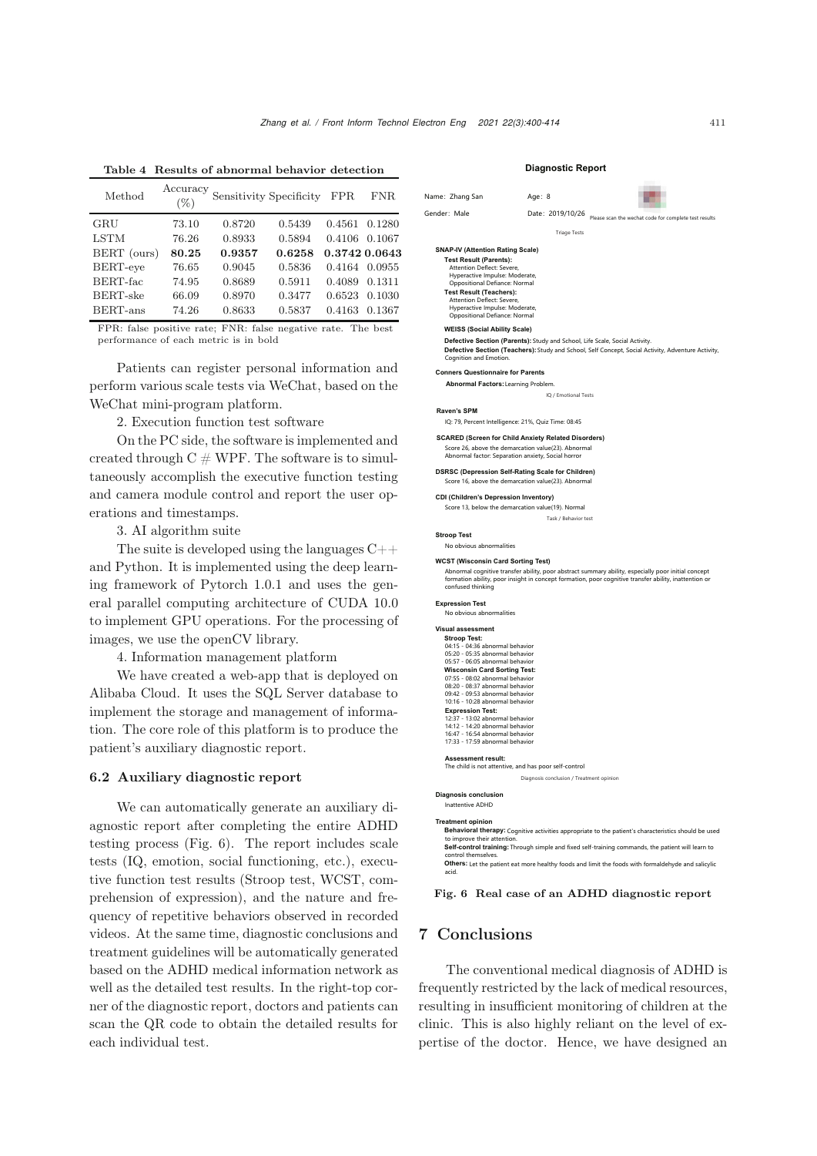| Method          | Accuracy<br>$(\%)$ |        | Sensitivity Specificity | <b>FPR</b>    | FNR    |
|-----------------|--------------------|--------|-------------------------|---------------|--------|
| GRU             | 73.10              | 0.8720 | 0.5439                  | 0.4561        | 0.1280 |
| <b>LSTM</b>     | 76.26              | 0.8933 | 0.5894                  | 0.4106        | 0.1067 |
| BERT (ours)     | 80.25              | 0.9357 | 0.6258                  | 0.3742 0.0643 |        |
| BERT-eye        | 76.65              | 0.9045 | 0.5836                  | 0.4164        | 0.0955 |
| BERT-fac        | 74.95              | 0.8689 | 0.5911                  | 0.4089        | 0.1311 |
| <b>BERT-ske</b> | 66.09              | 0.8970 | 0.3477                  | 0.6523        | 0.1030 |
| BERT-ans        | 74.26              | 0.8633 | 0.5837                  | 0.4163        | 0.1367 |

Table 4 Results of abnormal behavior detection

FPR: false positive rate; FNR: false negative rate. The best performance of each metric is in bold

Patients can register personal information and perform various scale tests via WeChat, based on the WeChat mini-program platform.

2. Execution function test software

On the PC side, the software is implemented and created through  $C \# WPF$ . The software is to simultaneously accomplish the executive function testing and camera module control and report the user operations and timestamps.

3. AI algorithm suite

The suite is developed using the languages C++ and Python. It is implemented using the deep learning framework of Pytorch 1.0.1 and uses the general parallel computing architecture of CUDA 10.0 to implement GPU operations. For the processing of images, we use the openCV library.

4. Information management platform

We have created a web-app that is deployed on Alibaba Cloud. It uses the SQL Server database to implement the storage and management of information. The core role of this platform is to produce the patient's auxiliary diagnostic report.

# 6.2 Auxiliary diagnostic report

We can automatically generate an auxiliary diagnostic report after completing the entire ADHD testing process (Fig. [6\)](#page-11-0). The report includes scale tests (IQ, emotion, social functioning, etc.), executive function test results (Stroop test, WCST, comprehension of expression), and the nature and frequency of repetitive behaviors observed in recorded videos. At the same time, diagnostic conclusions and treatment guidelines will be automatically generated based on the ADHD medical information network as well as the detailed test results. In the right-top corner of the diagnostic report, doctors and patients can scan the QR code to obtain the detailed results for each individual test.

#### **Diagnostic Report**

|              | Name: Zhang San                                                                                                                                                           | Age: 8                                                                                                    |                                                                                                                                                                                                              |
|--------------|---------------------------------------------------------------------------------------------------------------------------------------------------------------------------|-----------------------------------------------------------------------------------------------------------|--------------------------------------------------------------------------------------------------------------------------------------------------------------------------------------------------------------|
| Gender: Male |                                                                                                                                                                           | Date: 2019/10/26                                                                                          | Please scan the wechat code for complete test results                                                                                                                                                        |
|              |                                                                                                                                                                           | <b>Triage Tests</b>                                                                                       |                                                                                                                                                                                                              |
|              | <b>SNAP-IV (Attention Rating Scale)</b><br><b>Test Result (Parents):</b><br>Attention Deflect: Severe,<br>Hyperactive Impulse: Moderate,<br>Oppositional Defiance: Normal |                                                                                                           |                                                                                                                                                                                                              |
|              | <b>Test Result (Teachers):</b><br>Attention Deflect: Severe,<br>Hyperactive Impulse: Moderate,<br>Oppositional Defiance: Normal                                           |                                                                                                           |                                                                                                                                                                                                              |
|              | <b>WEISS (Social Ability Scale)</b>                                                                                                                                       |                                                                                                           |                                                                                                                                                                                                              |
|              | Cognition and Emotion.                                                                                                                                                    | Defective Section (Parents): Study and School, Life Scale, Social Activity.                               | Defective Section (Teachers): Study and School, Self Concept, Social Activity, Adventure Activity,                                                                                                           |
|              | <b>Conners Questionnaire for Parents</b>                                                                                                                                  |                                                                                                           |                                                                                                                                                                                                              |
|              |                                                                                                                                                                           | Abnormal Factors: Learning Problem.                                                                       |                                                                                                                                                                                                              |
|              |                                                                                                                                                                           | IQ / Emotional Tests                                                                                      |                                                                                                                                                                                                              |
|              | <b>Raven's SPM</b>                                                                                                                                                        |                                                                                                           |                                                                                                                                                                                                              |
|              |                                                                                                                                                                           | IQ: 79, Percent Intelligence: 21%, Quiz Time: 08:45                                                       |                                                                                                                                                                                                              |
|              |                                                                                                                                                                           | <b>SCARED (Screen for Child Anxiety Related Disorders)</b>                                                |                                                                                                                                                                                                              |
|              |                                                                                                                                                                           | Score 26, above the demarcation value(23). Abnormal<br>Abnormal factor: Separation anxiety, Social horror |                                                                                                                                                                                                              |
|              |                                                                                                                                                                           | DSRSC (Depression Self-Rating Scale for Children)<br>Score 16, above the demarcation value(23). Abnormal  |                                                                                                                                                                                                              |
|              |                                                                                                                                                                           | <b>CDI (Children's Depression Inventory)</b>                                                              |                                                                                                                                                                                                              |
|              |                                                                                                                                                                           | Score 13, below the demarcation value(19). Normal                                                         |                                                                                                                                                                                                              |
|              |                                                                                                                                                                           | Task / Behavior test                                                                                      |                                                                                                                                                                                                              |
|              | <b>Stroop Test</b>                                                                                                                                                        |                                                                                                           |                                                                                                                                                                                                              |
|              | No obvious abnormalities                                                                                                                                                  |                                                                                                           |                                                                                                                                                                                                              |
|              |                                                                                                                                                                           |                                                                                                           |                                                                                                                                                                                                              |
|              | confused thinking                                                                                                                                                         | <b>WCST (Wisconsin Card Sorting Test)</b>                                                                 | Abnormal cognitive transfer ability, poor abstract summary ability, especially poor initial concept<br>formation ability, poor insight in concept formation, poor cognitive transfer ability, inattention or |
|              | <b>Expression Test</b><br>No obvious abnormalities                                                                                                                        |                                                                                                           |                                                                                                                                                                                                              |
|              |                                                                                                                                                                           |                                                                                                           |                                                                                                                                                                                                              |
|              | Visual assessment<br><b>Stroop Test:</b>                                                                                                                                  |                                                                                                           |                                                                                                                                                                                                              |
|              | 04:15 - 04:36 abnormal behavior                                                                                                                                           |                                                                                                           |                                                                                                                                                                                                              |
|              | 05:20 - 05:35 abnormal behavior<br>05:57 - 06:05 abnormal behavior                                                                                                        |                                                                                                           |                                                                                                                                                                                                              |
|              | <b>Wisconsin Card Sorting Test:</b>                                                                                                                                       |                                                                                                           |                                                                                                                                                                                                              |
|              | 07:55 - 08:02 abnormal behavior<br>08:20 - 08:37 abnormal behavior                                                                                                        |                                                                                                           |                                                                                                                                                                                                              |
|              | 09:42 - 09:53 abnormal behavior                                                                                                                                           |                                                                                                           |                                                                                                                                                                                                              |
|              | 10:16 - 10:28 abnormal behavior                                                                                                                                           |                                                                                                           |                                                                                                                                                                                                              |
|              | <b>Expression Test:</b><br>12:37 - 13:02 abnormal behavior                                                                                                                |                                                                                                           |                                                                                                                                                                                                              |
|              | 14:12 - 14:20 abnormal behavior                                                                                                                                           |                                                                                                           |                                                                                                                                                                                                              |
|              | 16:47 - 16:54 abnormal behavior<br>17:33 - 17:59 abnormal behavior                                                                                                        |                                                                                                           |                                                                                                                                                                                                              |
|              | <b>Assessment result:</b>                                                                                                                                                 |                                                                                                           |                                                                                                                                                                                                              |
|              |                                                                                                                                                                           | The child is not attentive, and has poor self-control                                                     |                                                                                                                                                                                                              |
|              |                                                                                                                                                                           | Diagnosis conclusion / Treatment opinion                                                                  |                                                                                                                                                                                                              |
|              |                                                                                                                                                                           |                                                                                                           |                                                                                                                                                                                                              |
|              | <b>Diagnosis conclusion</b><br>Inattentive ADHD                                                                                                                           |                                                                                                           |                                                                                                                                                                                                              |
|              |                                                                                                                                                                           |                                                                                                           |                                                                                                                                                                                                              |
|              | <b>Treatment opinion</b>                                                                                                                                                  |                                                                                                           | Behavioral therapy: Cognitive activities appropriate to the patient's characteristics should be used                                                                                                         |

Fig. 6 Real case of an ADHD diagnostic report

to improve their attention.<br>**Self-control training:** Through simple and fixed self-training commands, the patient will learn tc control themselves.<br>**Others:** Let the patient eat more healthy foods and limit the foods with formaldehyde and salicylic

# 7 Conclusions

<span id="page-11-0"></span>acid.

The conventional medical diagnosis of ADHD is frequently restricted by the lack of medical resources, resulting in insufficient monitoring of children at the clinic. This is also highly reliant on the level of expertise of the doctor. Hence, we have designed an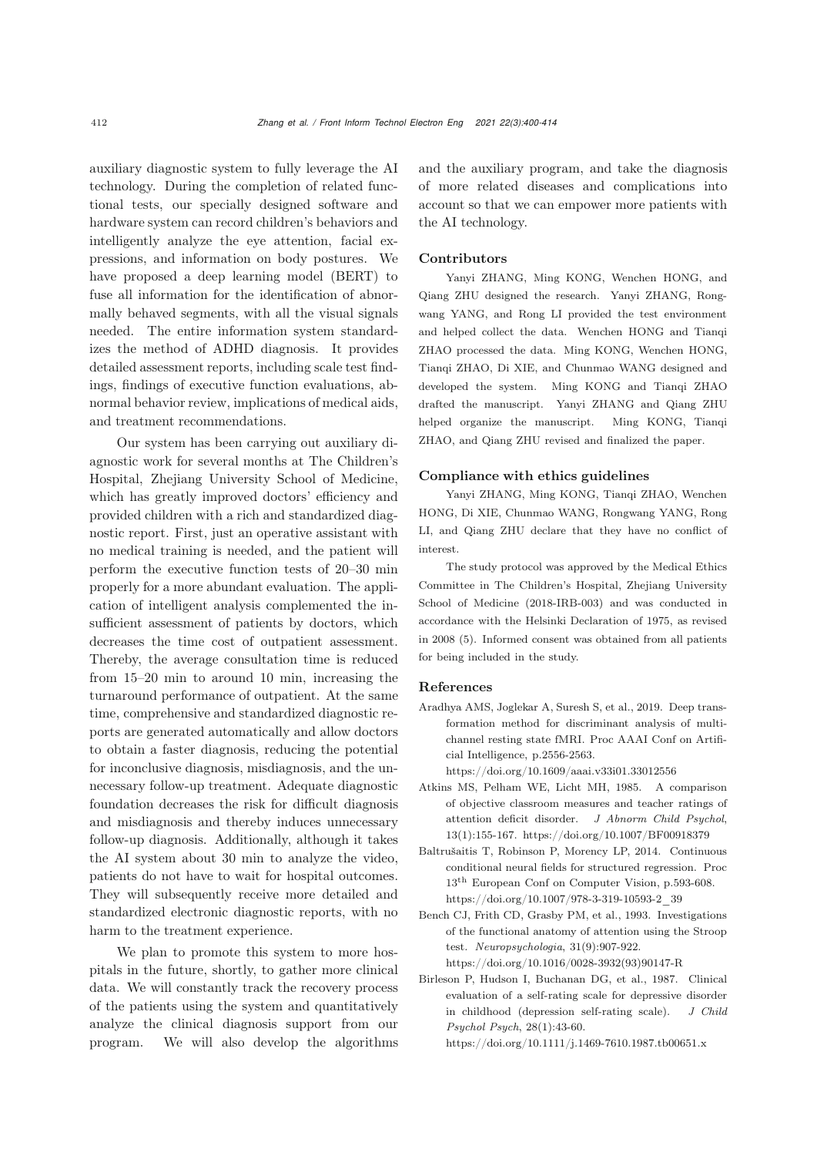auxiliary diagnostic system to fully leverage the AI technology. During the completion of related functional tests, our specially designed software and hardware system can record children's behaviors and intelligently analyze the eye attention, facial expressions, and information on body postures. We have proposed a deep learning model (BERT) to fuse all information for the identification of abnormally behaved segments, with all the visual signals needed. The entire information system standardizes the method of ADHD diagnosis. It provides detailed assessment reports, including scale test findings, findings of executive function evaluations, abnormal behavior review, implications of medical aids, and treatment recommendations.

Our system has been carrying out auxiliary diagnostic work for several months at The Children's Hospital, Zhejiang University School of Medicine, which has greatly improved doctors' efficiency and provided children with a rich and standardized diagnostic report. First, just an operative assistant with no medical training is needed, and the patient will perform the executive function tests of 20–30 min properly for a more abundant evaluation. The application of intelligent analysis complemented the insufficient assessment of patients by doctors, which decreases the time cost of outpatient assessment. Thereby, the average consultation time is reduced from 15–20 min to around 10 min, increasing the turnaround performance of outpatient. At the same time, comprehensive and standardized diagnostic reports are generated automatically and allow doctors to obtain a faster diagnosis, reducing the potential for inconclusive diagnosis, misdiagnosis, and the unnecessary follow-up treatment. Adequate diagnostic foundation decreases the risk for difficult diagnosis and misdiagnosis and thereby induces unnecessary follow-up diagnosis. Additionally, although it takes the AI system about 30 min to analyze the video, patients do not have to wait for hospital outcomes. They will subsequently receive more detailed and standardized electronic diagnostic reports, with no harm to the treatment experience.

We plan to promote this system to more hospitals in the future, shortly, to gather more clinical data. We will constantly track the recovery process of the patients using the system and quantitatively analyze the clinical diagnosis support from our program. We will also develop the algorithms and the auxiliary program, and take the diagnosis of more related diseases and complications into account so that we can empower more patients with the AI technology.

# Contributors

Yanyi ZHANG, Ming KONG, Wenchen HONG, and Qiang ZHU designed the research. Yanyi ZHANG, Rongwang YANG, and Rong LI provided the test environment and helped collect the data. Wenchen HONG and Tianqi ZHAO processed the data. Ming KONG, Wenchen HONG, Tianqi ZHAO, Di XIE, and Chunmao WANG designed and developed the system. Ming KONG and Tianqi ZHAO drafted the manuscript. Yanyi ZHANG and Qiang ZHU helped organize the manuscript. Ming KONG, Tianqi ZHAO, and Qiang ZHU revised and finalized the paper.

#### Compliance with ethics guidelines

Yanyi ZHANG, Ming KONG, Tianqi ZHAO, Wenchen HONG, Di XIE, Chunmao WANG, Rongwang YANG, Rong LI, and Qiang ZHU declare that they have no conflict of interest.

The study protocol was approved by the Medical Ethics Committee in The Children's Hospital, Zhejiang University School of Medicine (2018-IRB-003) and was conducted in accordance with the Helsinki Declaration of 1975, as revised in 2008 (5). Informed consent was obtained from all patients for being included in the study.

# References

<span id="page-12-0"></span>Aradhya AMS, Joglekar A, Suresh S, et al., 2019. Deep transformation method for discriminant analysis of multichannel resting state fMRI. Proc AAAI Conf on Artificial Intelligence, p.2556-2563.

https://doi.org/10.1609/aaai.v33i01.33012556

- <span id="page-12-3"></span>Atkins MS, Pelham WE, Licht MH, 1985. A comparison of objective classroom measures and teacher ratings of attention deficit disorder. *J Abnorm Child Psychol*, 13(1):155-167. https://doi.org/10.1007/BF00918379
- <span id="page-12-4"></span>Baltrušaitis T, Robinson P, Morency LP, 2014. Continuous conditional neural fields for structured regression. Proc 13th European Conf on Computer Vision, p.593-608. https://doi.org/10.1007/978-3-319-10593-2\_39
- <span id="page-12-1"></span>Bench CJ, Frith CD, Grasby PM, et al., 1993. Investigations of the functional anatomy of attention using the Stroop test. *Neuropsychologia*, 31(9):907-922. https://doi.org/10.1016/0028-3932(93)90147-R
- <span id="page-12-2"></span>Birleson P, Hudson I, Buchanan DG, et al., 1987. Clinical evaluation of a self-rating scale for depressive disorder in childhood (depression self-rating scale). *J Child Psychol Psych*, 28(1):43-60.

https://doi.org/10.1111/j.1469-7610.1987.tb00651.x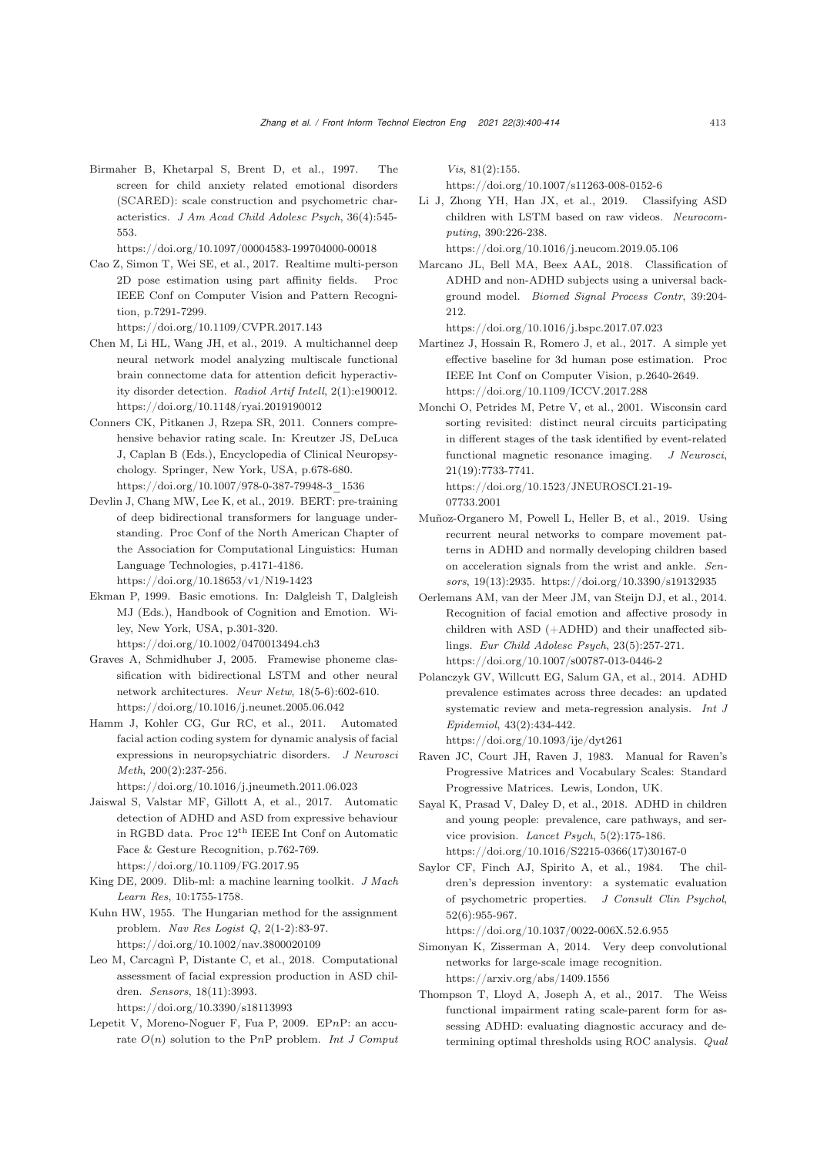<span id="page-13-13"></span>Birmaher B, Khetarpal S, Brent D, et al., 1997. The screen for child anxiety related emotional disorders (SCARED): scale construction and psychometric characteristics. *J Am Acad Child Adolesc Psych*, 36(4):545- 553.

https://doi.org/10.1097/00004583-199704000-00018

- <span id="page-13-22"></span>Cao Z, Simon T, Wei SE, et al., 2017. Realtime multi-person 2D pose estimation using part affinity fields. Proc IEEE Conf on Computer Vision and Pattern Recognition, p.7291-7299.
- https://doi.org/10.1109/CVPR.2017.143 Chen M, Li HL, Wang JH, et al., 2019. A multichannel deep
- <span id="page-13-3"></span>neural network model analyzing multiscale functional brain connectome data for attention deficit hyperactivity disorder detection. *Radiol Artif Intell*, 2(1):e190012. https://doi.org/10.1148/ryai.2019190012
- <span id="page-13-16"></span>Conners CK, Pitkanen J, Rzepa SR, 2011. Conners comprehensive behavior rating scale. In: Kreutzer JS, DeLuca J, Caplan B (Eds.), Encyclopedia of Clinical Neuropsychology. Springer, New York, USA, p.678-680. https://doi.org/10.1007/978-0-387-79948-3\_1536
- <span id="page-13-8"></span>Devlin J, Chang MW, Lee K, et al., 2019. BERT: pre-training of deep bidirectional transformers for language understanding. Proc Conf of the North American Chapter of the Association for Computational Linguistics: Human Language Technologies, p.4171-4186. https://doi.org/10.18653/v1/N19-1423
- <span id="page-13-10"></span>Ekman P, 1999. Basic emotions. In: Dalgleish T, Dalgleish MJ (Eds.), Handbook of Cognition and Emotion. Wiley, New York, USA, p.301-320. https://doi.org/10.1002/0470013494.ch3
- <span id="page-13-21"></span>Graves A, Schmidhuber J, 2005. Framewise phoneme classification with bidirectional LSTM and other neural network architectures. *Neur Netw*, 18(5-6):602-610. https://doi.org/10.1016/j.neunet.2005.06.042
- <span id="page-13-20"></span>Hamm J, Kohler CG, Gur RC, et al., 2011. Automated facial action coding system for dynamic analysis of facial expressions in neuropsychiatric disorders. *J Neurosci Meth*, 200(2):237-256.

https://doi.org/10.1016/j.jneumeth.2011.06.023

- <span id="page-13-4"></span>Jaiswal S, Valstar MF, Gillott A, et al., 2017. Automatic detection of ADHD and ASD from expressive behaviour in RGBD data. Proc 12th IEEE Int Conf on Automatic Face & Gesture Recognition, p.762-769. https://doi.org/10.1109/FG.2017.95
- <span id="page-13-17"></span>King DE, 2009. Dlib-ml: a machine learning toolkit. *J Mach Learn Res*, 10:1755-1758.
- <span id="page-13-23"></span>Kuhn HW, 1955. The Hungarian method for the assignment problem. *Nav Res Logist Q*, 2(1-2):83-97. https://doi.org/10.1002/nav.3800020109
- <span id="page-13-5"></span>Leo M, Carcagnì P, Distante C, et al., 2018. Computational assessment of facial expression production in ASD children. *Sensors*, 18(11):3993.

https://doi.org/10.3390/s18113993

<span id="page-13-18"></span>Lepetit V, Moreno-Noguer F, Fua P, 2009. EP*n*P: an accurate *O*(*n*) solution to the P*n*P problem. *Int J Comput* *Vis*, 81(2):155.

https://doi.org/10.1007/s11263-008-0152-6

<span id="page-13-7"></span>Li J, Zhong YH, Han JX, et al., 2019. Classifying ASD children with LSTM based on raw videos. *Neurocomputing*, 390:226-238.

https://doi.org/10.1016/j.neucom.2019.05.106

<span id="page-13-2"></span>Marcano JL, Bell MA, Beex AAL, 2018. Classification of ADHD and non-ADHD subjects using a universal background model. *Biomed Signal Process Contr*, 39:204- 212.

https://doi.org/10.1016/j.bspc.2017.07.023

- <span id="page-13-24"></span>Martinez J, Hossain R, Romero J, et al., 2017. A simple yet effective baseline for 3d human pose estimation. Proc IEEE Int Conf on Computer Vision, p.2640-2649. https://doi.org/10.1109/ICCV.2017.288
- <span id="page-13-9"></span>Monchi O, Petrides M, Petre V, et al., 2001. Wisconsin card sorting revisited: distinct neural circuits participating in different stages of the task identified by event-related functional magnetic resonance imaging. *J Neurosci*, 21(19):7733-7741.

```
https://doi.org/10.1523/JNEUROSCI.21-19-
07733.2001
```
- <span id="page-13-6"></span>Muñoz-Organero M, Powell L, Heller B, et al., 2019. Using recurrent neural networks to compare movement patterns in ADHD and normally developing children based on acceleration signals from the wrist and ankle. *Sensors*, 19(13):2935. https://doi.org/10.3390/s19132935
- <span id="page-13-11"></span>Oerlemans AM, van der Meer JM, van Steijn DJ, et al., 2014. Recognition of facial emotion and affective prosody in children with ASD (+ADHD) and their unaffected siblings. *Eur Child Adolesc Psych*, 23(5):257-271. https://doi.org/10.1007/s00787-013-0446-2
- <span id="page-13-0"></span>Polanczyk GV, Willcutt EG, Salum GA, et al., 2014. ADHD prevalence estimates across three decades: an updated systematic review and meta-regression analysis. *Int J Epidemiol*, 43(2):434-442. https://doi.org/10.1093/ije/dyt261
- <span id="page-13-12"></span>Raven JC, Court JH, Raven J, 1983. Manual for Raven's
- Progressive Matrices and Vocabulary Scales: Standard Progressive Matrices. Lewis, London, UK.
- <span id="page-13-1"></span>Sayal K, Prasad V, Daley D, et al., 2018. ADHD in children and young people: prevalence, care pathways, and service provision. *Lancet Psych*, 5(2):175-186. https://doi.org/10.1016/S2215-0366(17)30167-0
- <span id="page-13-14"></span>Saylor CF, Finch AJ, Spirito A, et al., 1984. The children's depression inventory: a systematic evaluation of psychometric properties. *J Consult Clin Psychol*, 52(6):955-967.

https://doi.org/10.1037/0022-006X.52.6.955

- <span id="page-13-19"></span>Simonyan K, Zisserman A, 2014. Very deep convolutional networks for large-scale image recognition. https://arxiv.org/abs/1409.1556
- <span id="page-13-15"></span>Thompson T, Lloyd A, Joseph A, et al., 2017. The Weiss functional impairment rating scale-parent form for assessing ADHD: evaluating diagnostic accuracy and determining optimal thresholds using ROC analysis. *Qual*